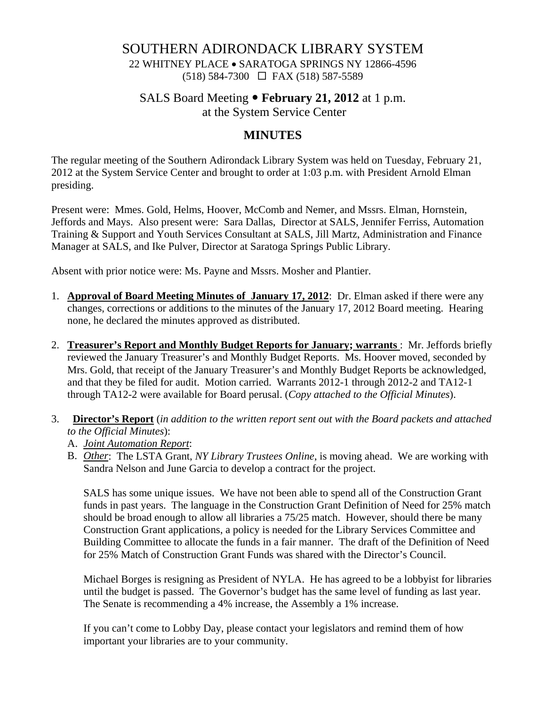## SOUTHERN ADIRONDACK LIBRARY SYSTEM

22 WHITNEY PLACE • SARATOGA SPRINGS NY 12866-4596 (518) 584-7300 FAX (518) 587-5589

## SALS Board Meeting • **February 21, 2012** at 1 p.m.

at the System Service Center

## **MINUTES**

The regular meeting of the Southern Adirondack Library System was held on Tuesday, February 21, 2012 at the System Service Center and brought to order at 1:03 p.m. with President Arnold Elman presiding.

Present were: Mmes. Gold, Helms, Hoover, McComb and Nemer, and Mssrs. Elman, Hornstein, Jeffords and Mays. Also present were: Sara Dallas, Director at SALS, Jennifer Ferriss, Automation Training & Support and Youth Services Consultant at SALS, Jill Martz, Administration and Finance Manager at SALS, and Ike Pulver, Director at Saratoga Springs Public Library.

Absent with prior notice were: Ms. Payne and Mssrs. Mosher and Plantier.

- 1. **Approval of Board Meeting Minutes of January 17, 2012**: Dr. Elman asked if there were any changes, corrections or additions to the minutes of the January 17, 2012 Board meeting. Hearing none, he declared the minutes approved as distributed.
- 2. **Treasurer's Report and Monthly Budget Reports for January; warrants** : Mr. Jeffords briefly reviewed the January Treasurer's and Monthly Budget Reports. Ms. Hoover moved, seconded by Mrs. Gold, that receipt of the January Treasurer's and Monthly Budget Reports be acknowledged, and that they be filed for audit. Motion carried. Warrants 2012-1 through 2012-2 and TA12-1 through TA12-2 were available for Board perusal. (*Copy attached to the Official Minutes*).
- 3. **Director's Report** (*in addition to the written report sent out with the Board packets and attached to the Official Minutes*):
	- A. *Joint Automation Report*:
	- B. *Other*: The LSTA Grant, *NY Library Trustees Online*, is moving ahead. We are working with Sandra Nelson and June Garcia to develop a contract for the project.

SALS has some unique issues. We have not been able to spend all of the Construction Grant funds in past years. The language in the Construction Grant Definition of Need for 25% match should be broad enough to allow all libraries a 75/25 match. However, should there be many Construction Grant applications, a policy is needed for the Library Services Committee and Building Committee to allocate the funds in a fair manner. The draft of the Definition of Need for 25% Match of Construction Grant Funds was shared with the Director's Council.

Michael Borges is resigning as President of NYLA. He has agreed to be a lobbyist for libraries until the budget is passed. The Governor's budget has the same level of funding as last year. The Senate is recommending a 4% increase, the Assembly a 1% increase.

If you can't come to Lobby Day, please contact your legislators and remind them of how important your libraries are to your community.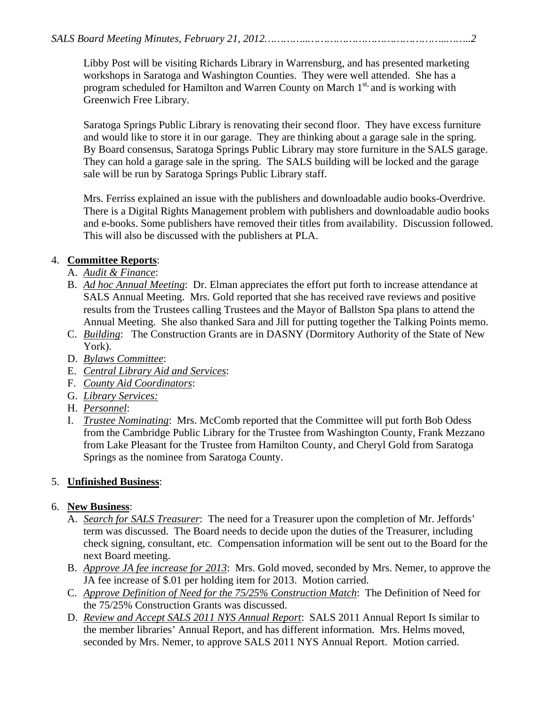Libby Post will be visiting Richards Library in Warrensburg, and has presented marketing workshops in Saratoga and Washington Counties. They were well attended. She has a program scheduled for Hamilton and Warren County on March 1<sup>st,</sup> and is working with Greenwich Free Library.

Saratoga Springs Public Library is renovating their second floor. They have excess furniture and would like to store it in our garage. They are thinking about a garage sale in the spring. By Board consensus, Saratoga Springs Public Library may store furniture in the SALS garage. They can hold a garage sale in the spring. The SALS building will be locked and the garage sale will be run by Saratoga Springs Public Library staff.

Mrs. Ferriss explained an issue with the publishers and downloadable audio books-Overdrive. There is a Digital Rights Management problem with publishers and downloadable audio books and e-books. Some publishers have removed their titles from availability. Discussion followed. This will also be discussed with the publishers at PLA.

### 4. **Committee Reports**:

- A. *Audit & Finance*:
- B. *Ad hoc Annual Meeting*: Dr. Elman appreciates the effort put forth to increase attendance at SALS Annual Meeting. Mrs. Gold reported that she has received rave reviews and positive results from the Trustees calling Trustees and the Mayor of Ballston Spa plans to attend the Annual Meeting. She also thanked Sara and Jill for putting together the Talking Points memo.
- C. *Building*: The Construction Grants are in DASNY (Dormitory Authority of the State of New York).
- D. *Bylaws Committee*:
- E. *Central Library Aid and Services*:
- F. *County Aid Coordinators*:
- G. *Library Services:*
- H. *Personnel*:
- I. *Trustee Nominating*: Mrs. McComb reported that the Committee will put forth Bob Odess from the Cambridge Public Library for the Trustee from Washington County, Frank Mezzano from Lake Pleasant for the Trustee from Hamilton County, and Cheryl Gold from Saratoga Springs as the nominee from Saratoga County.

## 5. **Unfinished Business**:

#### 6. **New Business**:

- A. *Search for SALS Treasurer*: The need for a Treasurer upon the completion of Mr. Jeffords' term was discussed. The Board needs to decide upon the duties of the Treasurer, including check signing, consultant, etc. Compensation information will be sent out to the Board for the next Board meeting.
- B. *Approve JA fee increase for 2013*: Mrs. Gold moved, seconded by Mrs. Nemer, to approve the JA fee increase of \$.01 per holding item for 2013. Motion carried.
- C. *Approve Definition of Need for the 75/25% Construction Match*: The Definition of Need for the 75/25% Construction Grants was discussed.
- D. *Review and Accept SALS 2011 NYS Annual Report*: SALS 2011 Annual Report Is similar to the member libraries' Annual Report, and has different information. Mrs. Helms moved, seconded by Mrs. Nemer, to approve SALS 2011 NYS Annual Report. Motion carried.